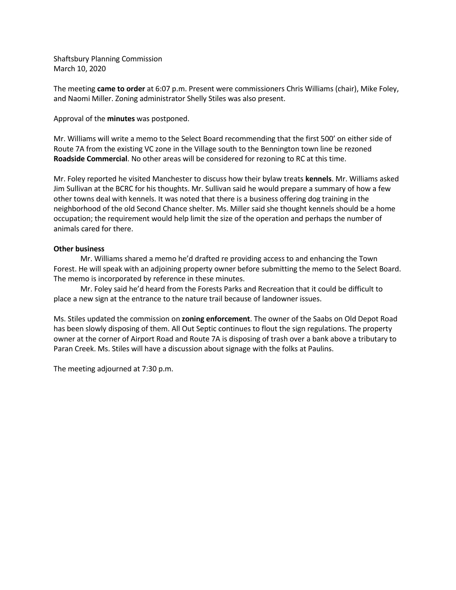Shaftsbury Planning Commission March 10, 2020

The meeting came to order at 6:07 p.m. Present were commissioners Chris Williams (chair), Mike Foley, and Naomi Miller. Zoning administrator Shelly Stiles was also present.

Approval of the minutes was postponed.

Mr. Williams will write a memo to the Select Board recommending that the first 500' on either side of Route 7A from the existing VC zone in the Village south to the Bennington town line be rezoned Roadside Commercial. No other areas will be considered for rezoning to RC at this time.

Mr. Foley reported he visited Manchester to discuss how their bylaw treats kennels. Mr. Williams asked Jim Sullivan at the BCRC for his thoughts. Mr. Sullivan said he would prepare a summary of how a few other towns deal with kennels. It was noted that there is a business offering dog training in the neighborhood of the old Second Chance shelter. Ms. Miller said she thought kennels should be a home occupation; the requirement would help limit the size of the operation and perhaps the number of animals cared for there.

## Other business

Mr. Williams shared a memo he'd drafted re providing access to and enhancing the Town Forest. He will speak with an adjoining property owner before submitting the memo to the Select Board. The memo is incorporated by reference in these minutes.

Mr. Foley said he'd heard from the Forests Parks and Recreation that it could be difficult to place a new sign at the entrance to the nature trail because of landowner issues.

Ms. Stiles updated the commission on zoning enforcement. The owner of the Saabs on Old Depot Road has been slowly disposing of them. All Out Septic continues to flout the sign regulations. The property owner at the corner of Airport Road and Route 7A is disposing of trash over a bank above a tributary to Paran Creek. Ms. Stiles will have a discussion about signage with the folks at Paulins.

The meeting adjourned at 7:30 p.m.